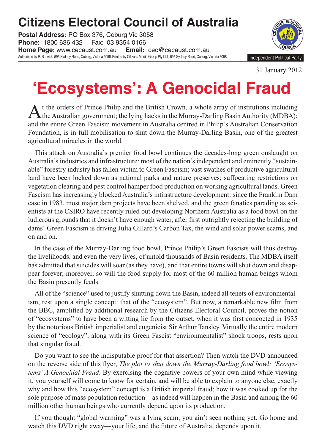## **Citizens Electoral Council of Australia**

**Postal Address:** PO Box 376, Coburg Vic 3058 **Phone:** 1800 636 432 Fax: 03 9354 0166 **Home Page:** www.cecaust.com.au **Email:** cec@cecaust.com.au Authorised by R. Barwick, 595 Sydney Road, Coburg, Victoria 3058. Printed by Citizens Media Group Pty Ltd., 595 Sydney Road, Coburg, Victoria 3058.



31 January 2012

## **'Ecosystems': A Genocidal Fraud**

At the orders of Prince Philip and the British Crown, a whole array of institutions including the Australian government; the lying hacks in the Murray-Darling Basin Authority (MDBA); and the entire Green Fascism movement in Australia centred in Philip's Australian Conservation Foundation, is in full mobilisation to shut down the Murray-Darling Basin, one of the greatest agricultural miracles in the world.

This attack on Australia's premier food bowl continues the decades-long green onslaught on Australia's industries and infrastructure: most of the nation's independent and eminently "sustainable" forestry industry has fallen victim to Green Fascism; vast swathes of productive agricultural land have been locked down as national parks and nature preserves; suffocating restrictions on vegetation clearing and pest control hamper food production on working agricultural lands. Green Fascism has increasingly blocked Australia's infrastructure development: since the Franklin Dam case in 1983, most major dam projects have been shelved, and the green fanatics parading as scientists at the CSIRO have recently ruled out developing Northern Australia as a food bowl on the ludicrous grounds that it doesn't have enough water, after first outrightly rejecting the building of dams! Green Fascism is driving Julia Gillard's Carbon Tax, the wind and solar power scams, and on and on.

In the case of the Murray-Darling food bowl, Prince Philip's Green Fascists will thus destroy the livelihoods, and even the very lives, of untold thousands of Basin residents. The MDBA itself has admitted that suicides will soar (as they have), and that entire towns will shut down and disappear forever; moreover, so will the food supply for most of the 60 million human beings whom the Basin presently feeds.

All of the "science" used to justify shutting down the Basin, indeed all tenets of environmentalism, rest upon a single concept: that of the "ecosystem". But now, a remarkable new film from the BBC, amplified by additional research by the Citizens Electoral Council, proves the notion of "ecosystems" to have been a witting lie from the outset, when it was first concocted in 1935 by the notorious British imperialist and eugenicist Sir Arthur Tansley. Virtually the entire modern science of "ecology", along with its Green Fascist "environmentalist" shock troops, rests upon that singular fraud.

Do you want to see the indisputable proof for that assertion? Then watch the DVD announced on the reverse side of this flyer, *The plot to shut down the Murray-Darling food bowl: 'Ecosystems' A Genocidal Fraud*. By exercising the cognitive powers of your own mind while viewing it, you yourself will come to know for certain, and will be able to explain to anyone else, exactly why and how this "ecosystem" concept is a British imperial fraud; how it was cooked up for the sole purpose of mass population reduction—as indeed will happen in the Basin and among the 60 million other human beings who currently depend upon its production.

If you thought "global warming" was a lying scam, you ain't seen nothing yet. Go home and watch this DVD right away—your life, and the future of Australia, depends upon it.